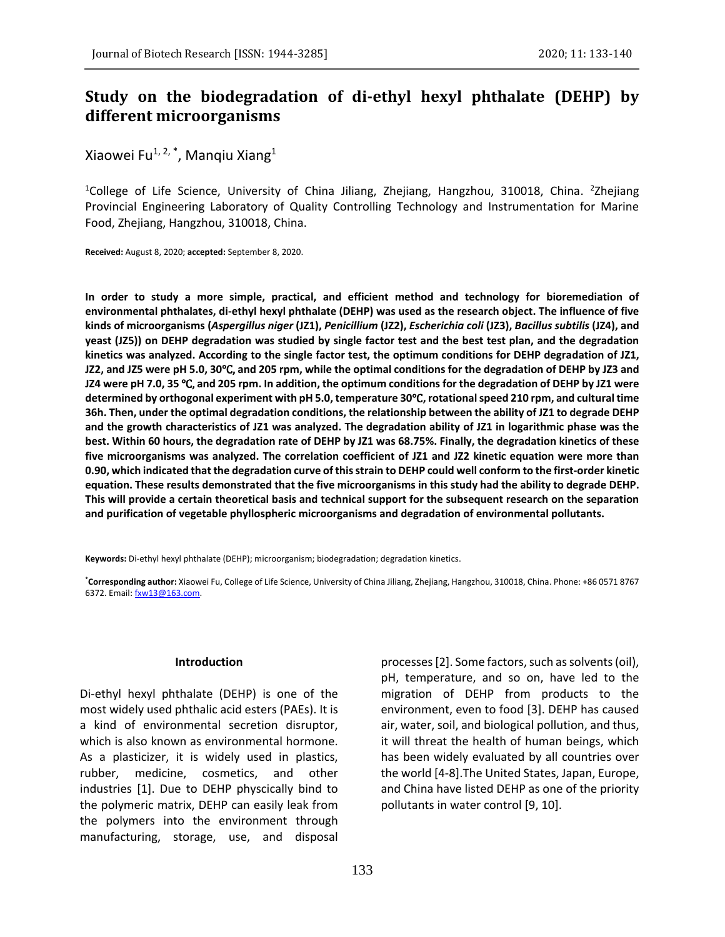# **Study on the biodegradation of di-ethyl hexyl phthalate (DEHP) by different microorganisms**

Xiaowei Fu $^{1, 2, *}$ , Manqiu Xiang $^{1}$ 

<sup>1</sup>College of Life Science, University of China Jiliang, Zhejiang, Hangzhou, 310018, China. <sup>2</sup>Zhejiang Provincial Engineering Laboratory of Quality Controlling Technology and Instrumentation for Marine Food, Zhejiang, Hangzhou, 310018, China.

**Received:** August 8, 2020; **accepted:** September 8, 2020.

**In order to study a more simple, practical, and efficient method and technology for bioremediation of environmental phthalates, di-ethyl hexyl phthalate (DEHP) was used as the research object. The influence of five kinds of microorganisms (***Aspergillus niger* **(JZ1),** *Penicillium* **(JZ2),** *Escherichia coli* **(JZ3),** *Bacillus subtilis* **(JZ4), and yeast (JZ5)) on DEHP degradation was studied by single factor test and the best test plan, and the degradation kinetics was analyzed. According to the single factor test, the optimum conditions for DEHP degradation of JZ1, JZ2, and JZ5 were pH 5.0, 30**℃, **and 205 rpm, while the optimal conditions for the degradation of DEHP by JZ3 and JZ4 were pH 7.0, 35** ℃, **and 205 rpm. In addition, the optimum conditions for the degradation of DEHP by JZ1 were determined by orthogonal experiment with pH 5.0, temperature 30**℃**, rotational speed 210 rpm, and cultural time 36h. Then, under the optimal degradation conditions, the relationship between the ability of JZ1 to degrade DEHP and the growth characteristics of JZ1 was analyzed. The degradation ability of JZ1 in logarithmic phase was the best. Within 60 hours, the degradation rate of DEHP by JZ1 was 68.75%. Finally, the degradation kinetics of these five microorganisms was analyzed. The correlation coefficient of JZ1 and JZ2 kinetic equation were more than 0.90, which indicated that the degradation curve of this strain to DEHP could well conform to the first-order kinetic equation. These results demonstrated that the five microorganisms in this study had the ability to degrade DEHP. This will provide a certain theoretical basis and technical support for the subsequent research on the separation and purification of vegetable phyllospheric microorganisms and degradation of environmental pollutants.**

**Keywords:** Di-ethyl hexyl phthalate (DEHP); microorganism; biodegradation; degradation kinetics.

**\*Corresponding author:** Xiaowei Fu, College of Life Science, University of China Jiliang, Zhejiang, Hangzhou, 310018, China. Phone: +86 0571 8767 6372. Email: fxw13@163.com.

#### **Introduction**

Di-ethyl hexyl phthalate (DEHP) is one of the most widely used phthalic acid esters (PAEs). It is a kind of environmental secretion disruptor, which is also known as environmental hormone. As a plasticizer, it is widely used in plastics, rubber, medicine, cosmetics, and other industries [1]. Due to DEHP physcically bind to the polymeric matrix, DEHP can easily leak from the polymers into the environment through manufacturing, storage, use, and disposal

processes[2]. Some factors, such as solvents (oil), pH, temperature, and so on, have led to the migration of DEHP from products to the environment, even to food [3]. DEHP has caused air, water, soil, and biological pollution, and thus, it will threat the health of human beings, which has been widely evaluated by all countries over the world [4-8].The United States, Japan, Europe, and China have listed DEHP as one of the priority pollutants in water control [9, 10].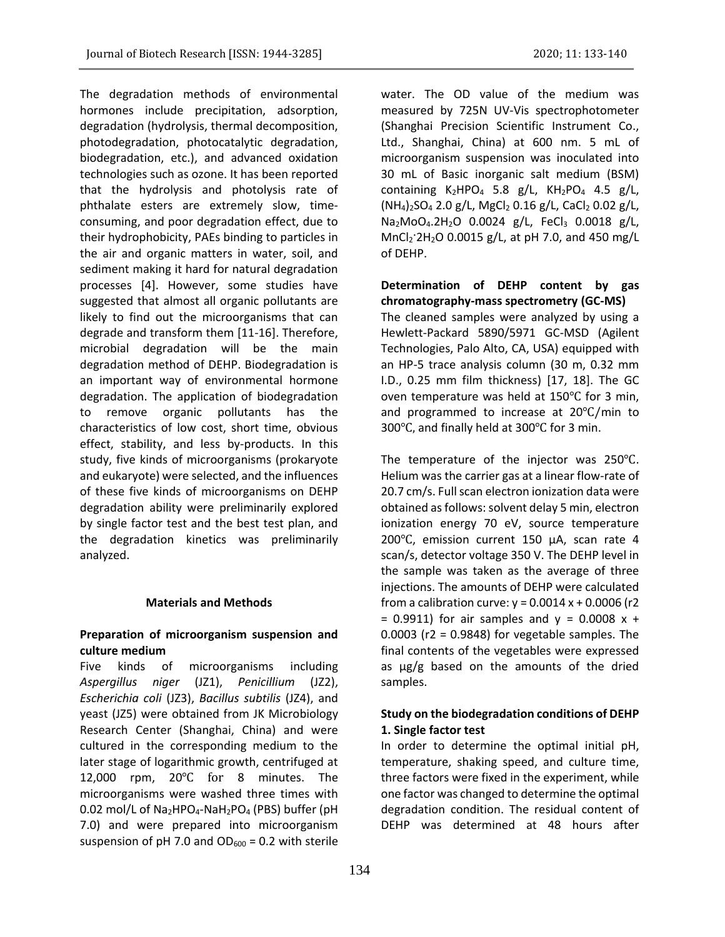The degradation methods of environmental hormones include precipitation, adsorption, degradation (hydrolysis, thermal decomposition, photodegradation, photocatalytic degradation, biodegradation, etc.), and advanced oxidation technologies such as ozone. It has been reported that the hydrolysis and photolysis rate of phthalate esters are extremely slow, timeconsuming, and poor degradation effect, due to their hydrophobicity, PAEs binding to particles in the air and organic matters in water, soil, and sediment making it hard for natural degradation processes [4]. However, some studies have suggested that almost all organic pollutants are likely to find out the microorganisms that can degrade and transform them [11-16]. Therefore, microbial degradation will be the main degradation method of DEHP. Biodegradation is an important way of environmental hormone degradation. The application of biodegradation to remove organic pollutants has the characteristics of low cost, short time, obvious effect, stability, and less by-products. In this study, five kinds of microorganisms (prokaryote and eukaryote) were selected, and the influences of these five kinds of microorganisms on DEHP degradation ability were preliminarily explored by single factor test and the best test plan, and the degradation kinetics was preliminarily analyzed.

### **Materials and Methods**

# **Preparation of microorganism suspension and culture medium**

Five kinds of microorganisms including *Aspergillus niger* (JZ1), *Penicillium* (JZ2), *Escherichia coli* (JZ3), *Bacillus subtilis* (JZ4), and yeast (JZ5) were obtained from JK Microbiology Research Center (Shanghai, China) and were cultured in the corresponding medium to the later stage of logarithmic growth, centrifuged at 12,000 rpm, 20℃ for 8 minutes. The microorganisms were washed three times with 0.02 mol/L of  $Na<sub>2</sub>HPO<sub>4</sub>-NaH<sub>2</sub>PO<sub>4</sub>$  (PBS) buffer (pH 7.0) and were prepared into microorganism suspension of pH 7.0 and  $OD_{600} = 0.2$  with sterile

water. The OD value of the medium was measured by 725N UV-Vis spectrophotometer (Shanghai Precision Scientific Instrument Co., Ltd., Shanghai, China) at 600 nm. 5 mL of microorganism suspension was inoculated into 30 mL of Basic inorganic salt medium (BSM) containing  $K_2HPO_4$  5.8 g/L,  $KH_2PO_4$  4.5 g/L,  $(NH_4)_2SO_4$  2.0 g/L, MgCl<sub>2</sub> 0.16 g/L, CaCl<sub>2</sub> 0.02 g/L, Na<sub>2</sub>MoO<sub>4</sub>.2H<sub>2</sub>O 0.0024 g/L, FeCl<sub>3</sub> 0.0018 g/L,  $MnCl<sub>2</sub>$ :  $2H<sub>2</sub>O$  0.0015 g/L, at pH 7.0, and 450 mg/L of DEHP.

# **Determination of DEHP content by gas chromatography-mass spectrometry (GC-MS)**

The cleaned samples were analyzed by using a Hewlett-Packard 5890/5971 GC-MSD (Agilent Technologies, Palo Alto, CA, USA) equipped with an HP-5 trace analysis column (30 m, 0.32 mm I.D., 0.25 mm film thickness) [17, 18]. The GC oven temperature was held at 150℃ for 3 min, and programmed to increase at 20℃/min to 300 $\degree$ C, and finally held at 300 $\degree$ C for 3 min.

The temperature of the injector was 250℃. Helium was the carrier gas at a linear flow-rate of 20.7 cm/s. Full scan electron ionization data were obtained as follows: solvent delay 5 min, electron ionization energy 70 eV, source temperature 200℃, emission current 150 μA, scan rate 4 scan/s, detector voltage 350 V. The DEHP level in the sample was taken as the average of three injections. The amounts of DEHP were calculated from a calibration curve:  $y = 0.0014 x + 0.0006$  (r2  $= 0.9911$ ) for air samples and  $y = 0.0008 x +$  $0.0003$  (r2 = 0.9848) for vegetable samples. The final contents of the vegetables were expressed as μg/g based on the amounts of the dried samples.

# **Study on the biodegradation conditions of DEHP 1. Single factor test**

In order to determine the optimal initial pH, temperature, shaking speed, and culture time, three factors were fixed in the experiment, while one factor was changed to determine the optimal degradation condition. The residual content of DEHP was determined at 48 hours after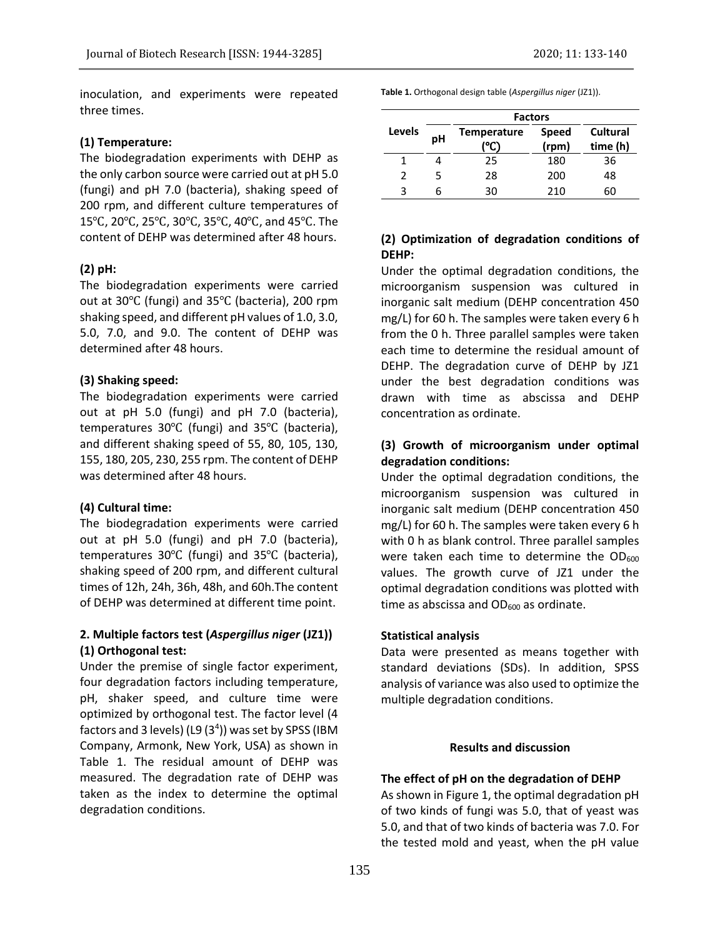inoculation, and experiments were repeated three times.

### **(1) Temperature:**

The biodegradation experiments with DEHP as the only carbon source were carried out at pH 5.0 (fungi) and pH 7.0 (bacteria), shaking speed of 200 rpm, and different culture temperatures of 15℃, 20℃, 25℃, 30℃, 35℃, 40℃, and 45℃. The content of DEHP was determined after 48 hours.

### **(2) pH:**

The biodegradation experiments were carried out at 30℃ (fungi) and 35℃ (bacteria), 200 rpm shaking speed, and different pH values of 1.0, 3.0, 5.0, 7.0, and 9.0. The content of DEHP was determined after 48 hours.

#### **(3) Shaking speed:**

The biodegradation experiments were carried out at pH 5.0 (fungi) and pH 7.0 (bacteria), temperatures 30℃ (fungi) and 35℃ (bacteria), and different shaking speed of 55, 80, 105, 130, 155, 180, 205, 230, 255 rpm. The content of DEHP was determined after 48 hours.

### **(4) Cultural time:**

The biodegradation experiments were carried out at pH 5.0 (fungi) and pH 7.0 (bacteria), temperatures 30℃ (fungi) and 35℃ (bacteria), shaking speed of 200 rpm, and different cultural times of 12h, 24h, 36h, 48h, and 60h.The content of DEHP was determined at different time point.

# **2. Multiple factors test (***Aspergillus niger* **(JZ1)) (1) Orthogonal test:**

Under the premise of single factor experiment, four degradation factors including temperature, pH, shaker speed, and culture time were optimized by orthogonal test. The factor level (4 factors and 3 levels) (L9  $(3<sup>4</sup>)$ ) was set by SPSS (IBM Company, Armonk, New York, USA) as shown in Table 1. The residual amount of DEHP was measured. The degradation rate of DEHP was taken as the index to determine the optimal degradation conditions.

**Table 1.** Orthogonal design table (*Aspergillus niger* (JZ1)).

|        | <b>Factors</b> |                          |                       |                      |  |
|--------|----------------|--------------------------|-----------------------|----------------------|--|
| Levels | pH             | <b>Temperature</b><br>ľ℃ | <b>Speed</b><br>(rpm) | Cultural<br>time (h) |  |
| 1      |                | 25                       | 180                   | 36                   |  |
| 2      | 5.             | 28                       | 200                   | 48                   |  |
| ς      | h              | 30                       | 210                   | 60                   |  |

# **(2) Optimization of degradation conditions of DEHP:**

Under the optimal degradation conditions, the microorganism suspension was cultured in inorganic salt medium (DEHP concentration 450 mg/L) for 60 h. The samples were taken every 6 h from the 0 h. Three parallel samples were taken each time to determine the residual amount of DEHP. The degradation curve of DEHP by JZ1 under the best degradation conditions was drawn with time as abscissa and DEHP concentration as ordinate.

# **(3) Growth of microorganism under optimal degradation conditions:**

Under the optimal degradation conditions, the microorganism suspension was cultured in inorganic salt medium (DEHP concentration 450 mg/L) for 60 h. The samples were taken every 6 h with 0 h as blank control. Three parallel samples were taken each time to determine the  $OD_{600}$ values. The growth curve of JZ1 under the optimal degradation conditions was plotted with time as abscissa and  $OD_{600}$  as ordinate.

#### **Statistical analysis**

Data were presented as means together with standard deviations (SDs). In addition, SPSS analysis of variance was also used to optimize the multiple degradation conditions.

#### **Results and discussion**

#### **The effect of pH on the degradation of DEHP**

As shown in Figure 1, the optimal degradation pH of two kinds of fungi was 5.0, that of yeast was 5.0, and that of two kinds of bacteria was 7.0. For the tested mold and yeast, when the pH value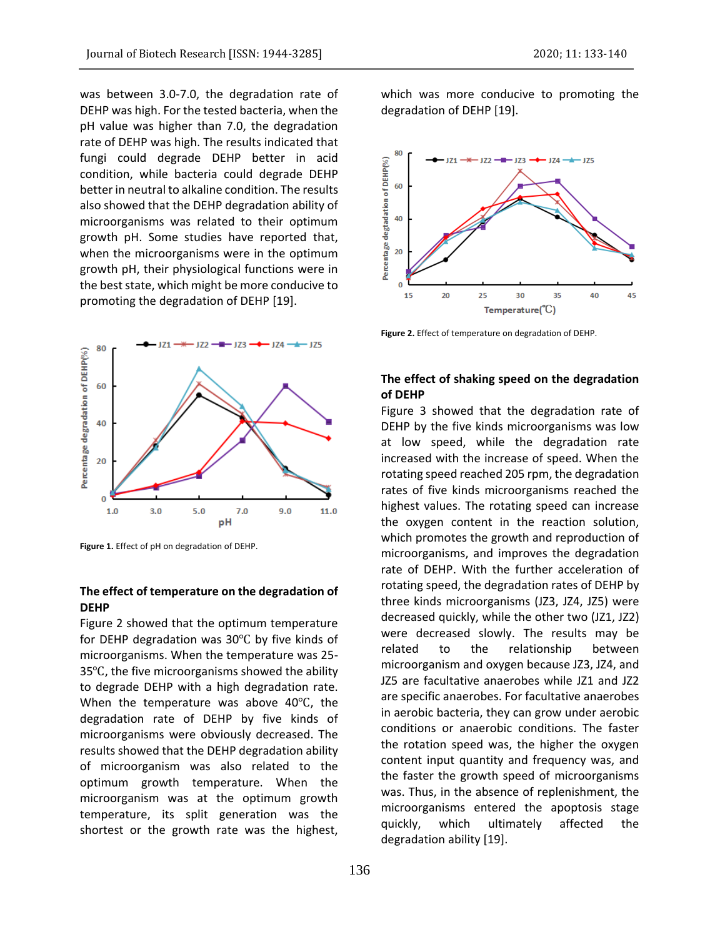was between 3.0-7.0, the degradation rate of DEHP was high. For the tested bacteria, when the pH value was higher than 7.0, the degradation rate of DEHP was high. The results indicated that fungi could degrade DEHP better in acid condition, while bacteria could degrade DEHP better in neutral to alkaline condition. The results also showed that the DEHP degradation ability of microorganisms was related to their optimum growth pH. Some studies have reported that, when the microorganisms were in the optimum growth pH, their physiological functions were in the best state, which might be more conducive to promoting the degradation of DEHP [19].



**Figure 1.** Effect of pH on degradation of DEHP.

### **The effect of temperature on the degradation of DEHP**

Figure 2 showed that the optimum temperature for DEHP degradation was 30℃ by five kinds of microorganisms. When the temperature was 25- 35℃, the five microorganisms showed the ability to degrade DEHP with a high degradation rate. When the temperature was above 40℃, the degradation rate of DEHP by five kinds of microorganisms were obviously decreased. The results showed that the DEHP degradation ability of microorganism was also related to the optimum growth temperature. When the microorganism was at the optimum growth temperature, its split generation was the shortest or the growth rate was the highest,

which was more conducive to promoting the degradation of DEHP [19].



**Figure 2.** Effect of temperature on degradation of DEHP.

### **The effect of shaking speed on the degradation of DEHP**

Figure 3 showed that the degradation rate of DEHP by the five kinds microorganisms was low at low speed, while the degradation rate increased with the increase of speed. When the rotating speed reached 205 rpm, the degradation rates of five kinds microorganisms reached the highest values. The rotating speed can increase the oxygen content in the reaction solution, which promotes the growth and reproduction of microorganisms, and improves the degradation rate of DEHP. With the further acceleration of rotating speed, the degradation rates of DEHP by three kinds microorganisms (JZ3, JZ4, JZ5) were decreased quickly, while the other two (JZ1, JZ2) were decreased slowly. The results may be related to the relationship between microorganism and oxygen because JZ3, JZ4, and JZ5 are facultative anaerobes while JZ1 and JZ2 are specific anaerobes. For facultative anaerobes in aerobic bacteria, they can grow under aerobic conditions or anaerobic conditions. The faster the rotation speed was, the higher the oxygen content input quantity and frequency was, and the faster the growth speed of microorganisms was. Thus, in the absence of replenishment, the microorganisms entered the apoptosis stage quickly, which ultimately affected the degradation ability [19].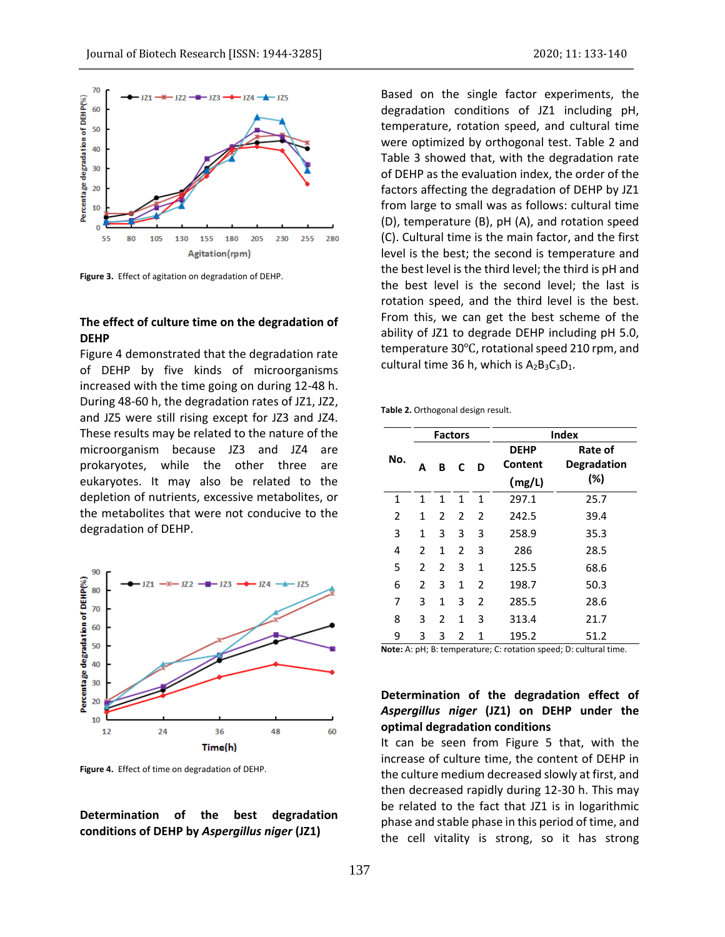



**Figure 3.** Effect of agitation on degradation of DEHP.

### **The effect of culture time on the degradation of DEHP**

Figure 4 demonstrated that the degradation rate of DEHP by five kinds of microorganisms increased with the time going on during 12-48 h. During 48-60 h, the degradation rates of JZ1, JZ2, and JZ5 were still rising except for JZ3 and JZ4. These results may be related to the nature of the microorganism because JZ3 and JZ4 are prokaryotes, while the other three are eukaryotes. It may also be related to the depletion of nutrients, excessive metabolites, or the metabolites that were not conducive to the degradation of DEHP.



**Figure 4.** Effect of time on degradation of DEHP.

**Determination of the best degradation conditions of DEHP by** *Aspergillus niger* **(JZ1)**

Based on the single factor experiments, the degradation conditions of JZ1 including pH, temperature, rotation speed, and cultural time were optimized by orthogonal test. Table 2 and Table 3 showed that, with the degradation rate of DEHP as the evaluation index, the order of the factors affecting the degradation of DEHP by JZ1 from large to small was as follows: cultural time (D), temperature (B), pH (A), and rotation speed (C). Cultural time is the main factor, and the first level is the best; the second is temperature and the best level is the third level; the third is pH and the best level is the second level; the last is rotation speed, and the third level is the best. From this, we can get the best scheme of the ability of JZ1 to degrade DEHP including pH 5.0, temperature 30℃, rotational speed 210 rpm, and cultural time 36 h, which is  $A_2B_3C_3D_1$ .

**Table 2.** Orthogonal design result.

|     | <b>Factors</b> |              |                |              | <b>Index</b> |                    |  |
|-----|----------------|--------------|----------------|--------------|--------------|--------------------|--|
| No. |                |              |                |              | <b>DEHP</b>  | Rate of            |  |
|     | A              | В            | C              | D            | Content      | <b>Degradation</b> |  |
|     |                |              |                |              | (mg/L)       | (%)                |  |
| 1   | 1              | $\mathbf{1}$ | $\mathbf{1}$   | $\mathbf{1}$ | 297.1        | 25.7               |  |
| 2   | 1              | 2            | 2              | 2            | 242.5        | 39.4               |  |
| 3   | 1              | 3            | 3              | 3            | 258.9        | 35.3               |  |
| 4   | $\mathfrak{p}$ | $\mathbf{1}$ | 2              | 3            | 286          | 28.5               |  |
| 5   | $\mathcal{P}$  | 2            | 3              | $\mathbf{1}$ | 125.5        | 68.6               |  |
| 6   | $\mathcal{P}$  | 3            | 1              | 2            | 198.7        | 50.3               |  |
| 7   | 3              | 1            | 3              | 2            | 285.5        | 28.6               |  |
| 8   | 3              | 2            | 1              | 3            | 313.4        | 21.7               |  |
| 9   | 3              | 3            | $\mathfrak{p}$ | 1            | 195.2        | 51.2               |  |

**Note:** A: pH; B: temperature; C: rotation speed; D: cultural time.

# **Determination of the degradation effect of**  *Aspergillus niger* **(JZ1) on DEHP under the optimal degradation conditions**

It can be seen from Figure 5 that, with the increase of culture time, the content of DEHP in the culture medium decreased slowly at first, and then decreased rapidly during 12-30 h. This may be related to the fact that JZ1 is in logarithmic phase and stable phase in this period of time, and the cell vitality is strong, so it has strong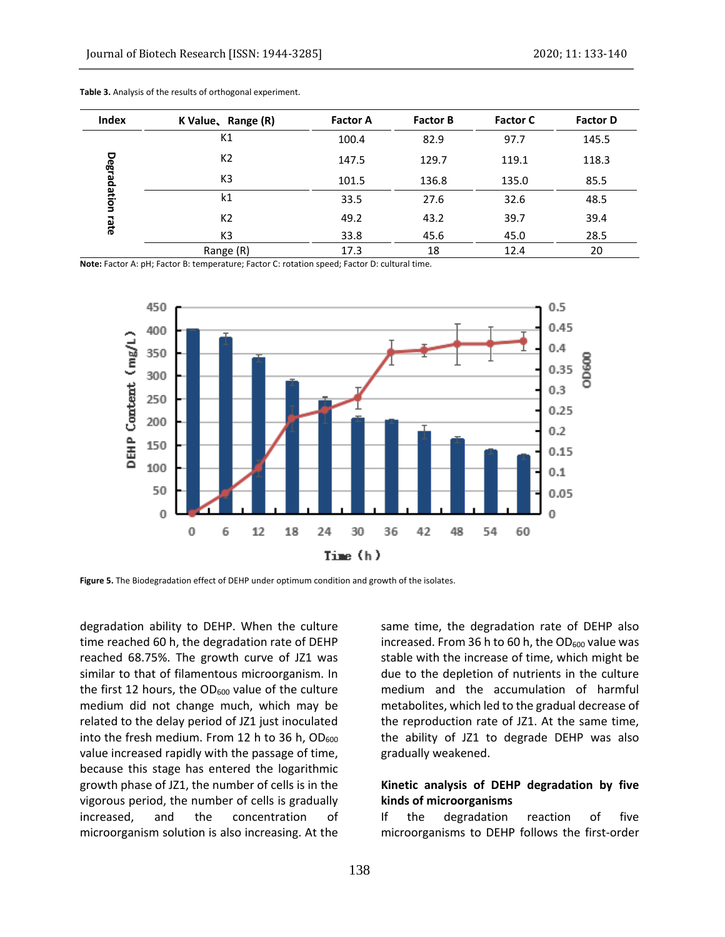| Index       | K Value, Range (R) | <b>Factor A</b> | <b>Factor B</b> | <b>Factor C</b> | <b>Factor D</b> |
|-------------|--------------------|-----------------|-----------------|-----------------|-----------------|
|             | K1                 | 100.4           | 82.9            | 97.7            | 145.5           |
|             | K <sub>2</sub>     | 147.5           | 129.7           | 119.1           | 118.3           |
| Degradation | K <sub>3</sub>     | 101.5           | 136.8           | 135.0           | 85.5            |
|             | k1                 | 33.5            | 27.6            | 32.6            | 48.5            |
| Late        | K <sub>2</sub>     | 49.2            | 43.2            | 39.7            | 39.4            |
|             | K <sub>3</sub>     | 33.8            | 45.6            | 45.0            | 28.5            |
|             | Range (R)          | 17.3            | 18              | 12.4            | 20              |

**Table 3.** Analysis of the results of orthogonal experiment.

**Note:** Factor A: pH; Factor B: temperature; Factor C: rotation speed; Factor D: cultural time.



**Figure 5.** The Biodegradation effect of DEHP under optimum condition and growth of the isolates.

degradation ability to DEHP. When the culture time reached 60 h, the degradation rate of DEHP reached 68.75%. The growth curve of JZ1 was similar to that of filamentous microorganism. In the first 12 hours, the  $OD_{600}$  value of the culture medium did not change much, which may be related to the delay period of JZ1 just inoculated into the fresh medium. From 12 h to 36 h,  $OD_{600}$ value increased rapidly with the passage of time, because this stage has entered the logarithmic growth phase of JZ1, the number of cells is in the vigorous period, the number of cells is gradually increased, and the concentration of microorganism solution is also increasing. At the

same time, the degradation rate of DEHP also increased. From 36 h to 60 h, the  $OD<sub>600</sub>$  value was stable with the increase of time, which might be due to the depletion of nutrients in the culture medium and the accumulation of harmful metabolites, which led to the gradual decrease of the reproduction rate of JZ1. At the same time, the ability of JZ1 to degrade DEHP was also gradually weakened.

# **Kinetic analysis of DEHP degradation by five kinds of microorganisms**

If the degradation reaction of five microorganisms to DEHP follows the first-order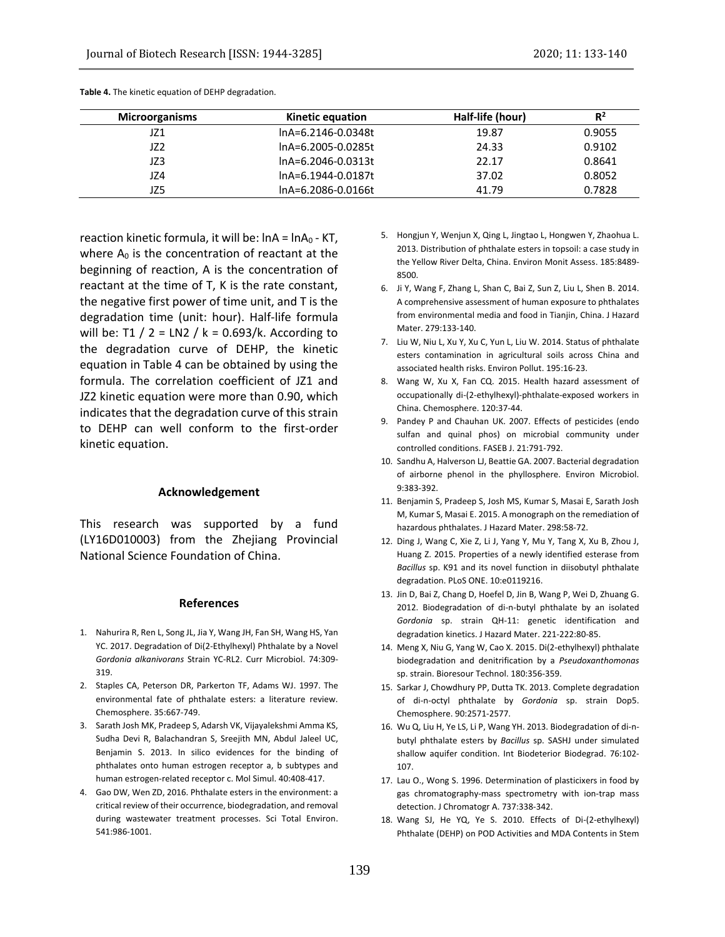| Microorganisms | <b>Kinetic equation</b> | Half-life (hour) | $R^2$  |
|----------------|-------------------------|------------------|--------|
| JZ1            | lnA=6.2146-0.0348t      | 19.87            | 0.9055 |
| JZ2            | lnA=6.2005-0.0285t      | 24.33            | 0.9102 |
| JZ3            | lnA=6.2046-0.0313t      | 22.17            | 0.8641 |
| JZ4            | lnA=6.1944-0.0187t      | 37.02            | 0.8052 |
| JZ5            | lnA=6.2086-0.0166t      | 41.79            | 0.7828 |

**Table 4.** The kinetic equation of DEHP degradation.

reaction kinetic formula, it will be:  $ln A = ln A_0 - KT$ , where  $A_0$  is the concentration of reactant at the beginning of reaction, A is the concentration of reactant at the time of T, K is the rate constant, the negative first power of time unit, and T is the degradation time (unit: hour). Half-life formula will be: T1 /  $2 = LN2$  / k = 0.693/k. According to the degradation curve of DEHP, the kinetic equation in Table 4 can be obtained by using the formula. The correlation coefficient of JZ1 and JZ2 kinetic equation were more than 0.90, which indicates that the degradation curve of this strain to DEHP can well conform to the first-order kinetic equation.

#### **Acknowledgement**

This research was supported by a fund (LY16D010003) from the Zhejiang Provincial National Science Foundation of China.

#### **References**

- 1. Nahurira R, Ren L, Song JL, Jia Y, Wang JH, Fan SH, Wang HS, Yan YC. 2017. Degradation of Di(2-Ethylhexyl) Phthalate by a Novel *Gordonia alkanivorans* Strain YC-RL2. Curr Microbiol. 74:309- 319.
- 2. Staples CA, Peterson DR, Parkerton TF, Adams WJ. 1997. The environmental fate of phthalate esters: a literature review. Chemosphere. 35:667-749.
- 3. Sarath Josh MK, Pradeep S, Adarsh VK, Vijayalekshmi Amma KS, Sudha Devi R, Balachandran S, Sreejith MN, Abdul Jaleel UC, Benjamin S. 2013. In silico evidences for the binding of phthalates onto human estrogen receptor a, b subtypes and human estrogen-related receptor c. Mol Simul. 40:408-417.
- 4. Gao DW, Wen ZD, 2016. Phthalate esters in the environment: a critical review of their occurrence, biodegradation, and removal during wastewater treatment processes. Sci Total Environ. 541:986-1001.
- 5. Hongjun Y, Wenjun X, Qing L, Jingtao L, Hongwen Y, Zhaohua L. 2013. Distribution of phthalate esters in topsoil: a case study in the Yellow River Delta, China. Environ Monit Assess. 185:8489- 8500.
- 6. Ji Y, Wang F, Zhang L, Shan C, Bai Z, Sun Z, Liu L, Shen B. 2014. A comprehensive assessment of human exposure to phthalates from environmental media and food in Tianjin, China. J Hazard Mater. 279:133-140.
- 7. Liu W, Niu L, Xu Y, Xu C, Yun L, Liu W. 2014. Status of phthalate esters contamination in agricultural soils across China and associated health risks. Environ Pollut. 195:16-23.
- 8. Wang W, Xu X, Fan CQ. 2015. Health hazard assessment of occupationally di-(2-ethylhexyl)-phthalate-exposed workers in China. Chemosphere. 120:37-44.
- 9. Pandey P and Chauhan UK. 2007. Effects of pesticides (endo sulfan and quinal phos) on microbial community under controlled conditions. FASEB J. 21:791-792.
- 10. Sandhu A, Halverson LJ, Beattie GA. 2007. Bacterial degradation of airborne phenol in the phyllosphere. Environ Microbiol. 9:383-392.
- 11. Benjamin S, Pradeep S, Josh MS, Kumar S, Masai E, Sarath Josh M, Kumar S, Masai E. 2015. A monograph on the remediation of hazardous phthalates. J Hazard Mater. 298:58-72.
- 12. Ding J, Wang C, Xie Z, Li J, Yang Y, Mu Y, Tang X, Xu B, Zhou J, Huang Z. 2015. Properties of a newly identified esterase from *Bacillus* sp. K91 and its novel function in diisobutyl phthalate degradation. PLoS ONE. 10:e0119216.
- 13. Jin D, Bai Z, Chang D, Hoefel D, Jin B, Wang P, Wei D, Zhuang G. 2012. Biodegradation of di-n-butyl phthalate by an isolated *Gordonia* sp. strain QH-11: genetic identification and degradation kinetics. J Hazard Mater. 221-222:80-85.
- 14. Meng X, Niu G, Yang W, Cao X. 2015. Di(2-ethylhexyl) phthalate biodegradation and denitrification by a *Pseudoxanthomonas* sp. strain. Bioresour Technol. 180:356-359.
- 15. Sarkar J, Chowdhury PP, Dutta TK. 2013. Complete degradation of di-n-octyl phthalate by *Gordonia* sp. strain Dop5. Chemosphere. 90:2571-2577.
- 16. Wu Q, Liu H, Ye LS, Li P, Wang YH. 2013. Biodegradation of di-nbutyl phthalate esters by *Bacillus* sp. SASHJ under simulated shallow aquifer condition. Int Biodeterior Biodegrad. 76:102- 107.
- 17. Lau O., Wong S. 1996. Determination of plasticixers in food by gas chromatography-mass spectrometry with ion-trap mass detection. J Chromatogr A. 737:338-342.
- 18. Wang SJ, He YQ, Ye S. 2010. Effects of Di-(2-ethylhexyl) Phthalate (DEHP) on POD Activities and MDA Contents in Stem